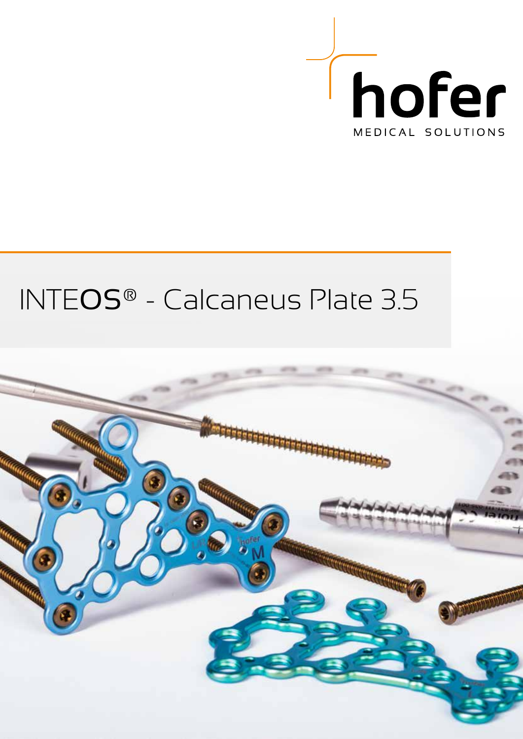

# INTEOS® - Calcaneus Plate 3.5

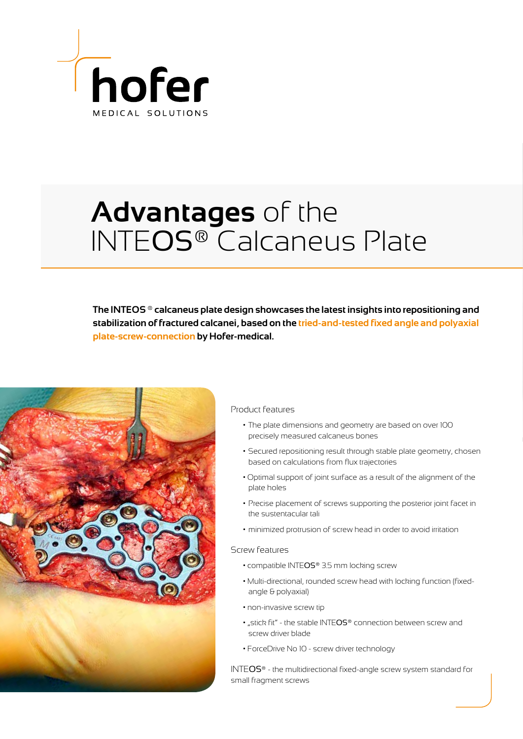

## **Advantages** of the INTEOS® Calcaneus Plate

**The INTEOS ® calcaneus plate design showcases the latest insights into repositioning and stabilization of fractured calcanei, based on the tried-and-tested fixed angle and polyaxial plate-screw-connection by Hofer-medical.** 



### Product features

- The plate dimensions and geometry are based on over 100 precisely measured calcaneus bones
- Secured repositioning result through stable plate geometry, chosen based on calculations from flux trajectories
- Optimal support of joint surface as a result of the alignment of the plate holes
- Precise placement of screws supporting the posterior joint facet in the sustentacular tali
- minimized protrusion of screw head in order to avoid irritation

#### Screw features

- compatible INTEOS® 3.5 mm locking screw
- Multi-directional, rounded screw head with locking function (fixedangle & polyaxial)
- non-invasive screw tip
- "stick fit" the stable INTEOS® connection between screw and screw driver blade
- ForceDrive No 10 screw driver technology

INTEOS® - the multidirectional fixed-angle screw system standard for small fragment screws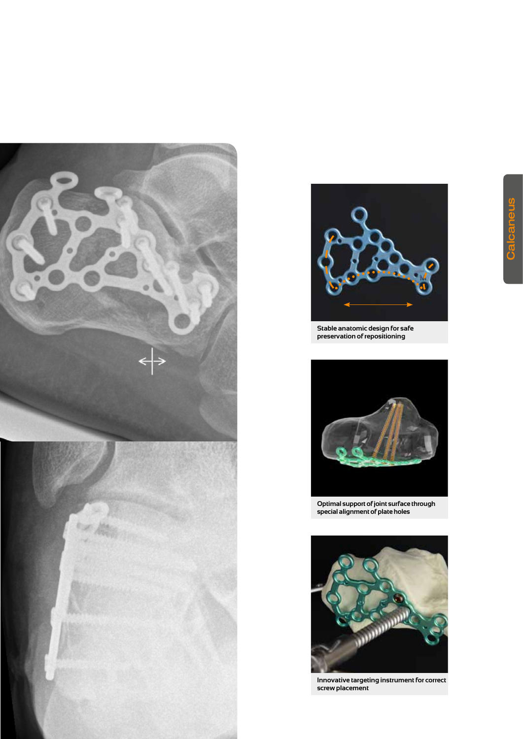



**Stable anatomic design for safe preservation of repositioning**



**Optimal support of joint surface through special alignment of plate holes**



**Innovative targeting instrument for correct screw placement**